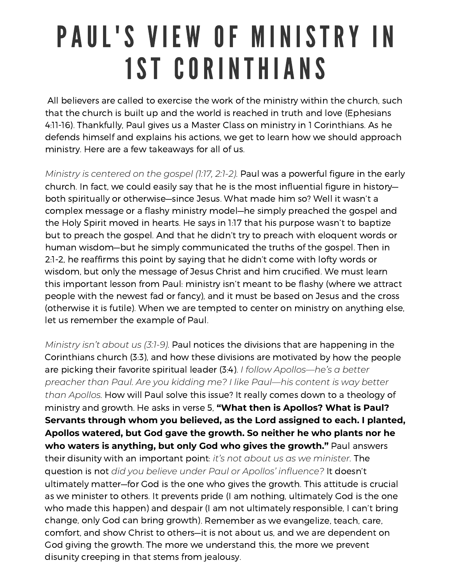## PAUL'S VIEW OF MINISTRY IN 1ST CORINTHIANS

All believers are called to exercise the work of the ministry within the church, such that the church is built up and the world is reached in truth and love (Ephesians 4:11-16). Thankfully, Paul gives us <sup>a</sup> Master Class on ministry in 1 Corinthians. As he defends himself and explains his actions, we get to learn how we should approach ministry. Here are <sup>a</sup> few takeaways for all of us.

*Ministry is centered on the gospel (1:17, 2:1-2).* Paul was <sup>a</sup> powerful figure in the early church. In fact, we could easily say that he is the most influential figure in history both spiritually or otherwise—since Jesus. What made him so? Well it wasn't <sup>a</sup> complex message or <sup>a</sup> flashy ministry model—he simply preached the gospel and the Holy Spirit moved in hearts. He says in 1:17 that his purpose wasn't to baptize but to preach the gospel. And that he didn't try to preach with eloquent words or human wisdom—but he simply communicated the truths of the gospel. Then in 2:1-2, he reaffirms this point by saying that he didn't come with lofty words or wisdom, but only the message of Jesus Christ and him crucified. We must learn this important lesson from Paul: ministry isn't meant to be flashy (where we attract people with the newest fad or fancy), and it must be based on Jesus and the cross (otherwise it is futile). When we are tempted to center on ministry on anything else, let us remember the example of Paul.

*Ministry isn't about us (3:1-9).* Paul notices the divisions that are happening in the Corinthians church (3:3), and how these divisions are motivated by how the people are picking their favorite spiritual leader (3:4). *I follow Apollos—he's <sup>a</sup> better preacher than Paul. Are you kidding me? I like Paul—his content is way better than Apollos.* How will Paul solve this issue? It really comes down to <sup>a</sup> theology of ministry and growth. He asks in verse 5, **"What then is Apollos? What is Paul? Servants through whom you believed, as the Lord assigned to each. I planted, Apollos watered, but God gave the growth. So neither he who plants nor he who waters is anything, but only God who gives the growth."** Paul answers their disunity with an important point: *it's not about us as we minister.* The question is not *did you believe under Paul or Apollos' influence?* It doesn't ultimately matter—for God is the one who gives the growth. This attitude is crucial as we minister to others. It prevents pride (I am nothing, ultimately God is the one who made this happen) and despair (I am not ultimately responsible, I can't bring change, only God can bring growth). Remember as we evangelize, teach, care, comfort, and show Christ to others—it is not about us, and we are dependent on God giving the growth. The more we understand this, the more we prevent disunity creeping in that stems from jealousy.